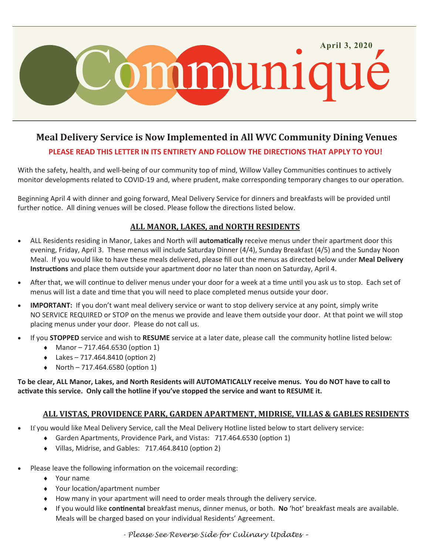

# **Meal Delivery Service is Now Implemented in All WVC Community Dining Venues PLEASE READ THIS LETTER IN ITS ENTIRETY AND FOLLOW THE DIRECTIONS THAT APPLY TO YOU!**

With the safety, health, and well-being of our community top of mind, Willow Valley Communities continues to actively monitor developments related to COVID-19 and, where prudent, make corresponding temporary changes to our operation.

Beginning April 4 with dinner and going forward, Meal Delivery Service for dinners and breakfasts will be provided until further notice. All dining venues will be closed. Please follow the directions listed below.

# **ALL MANOR, LAKES, and NORTH RESIDENTS**

- ALL Residents residing in Manor, Lakes and North will **automatically** receive menus under their apartment door this evening, Friday, April 3. These menus will include Saturday Dinner (4/4), Sunday Breakfast (4/5) and the Sunday Noon Meal. If you would like to have these meals delivered, please fill out the menus as directed below under **Meal Delivery Instructions** and place them outside your apartment door no later than noon on Saturday, April 4.
- After that, we will continue to deliver menus under your door for a week at a time until you ask us to stop. Each set of menus will list a date and time that you will need to place completed menus outside your door.
- **IMPORTANT:** If you don't want meal delivery service or want to stop delivery service at any point, simply write NO SERVICE REQUIRED or STOP on the menus we provide and leave them outside your door. At that point we will stop placing menus under your door. Please do not call us.
- If you **STOPPED** service and wish to **RESUME** service at a later date, please call the community hotline listed below:
	- $\bullet$  Manor 717.464.6530 (option 1)
	- $\bullet$  Lakes 717.464.8410 (option 2)
	- $\bullet$  North 717.464.6580 (option 1)

**To be clear, ALL Manor, Lakes, and North Residents will AUTOMATICALLY receive menus. You do NOT have to call to activate this service. Only call the hotline if you've stopped the service and want to RESUME it.**

### **ALL VISTAS, PROVIDENCE PARK, GARDEN APARTMENT, MIDRISE, VILLAS & GABLES RESIDENTS**

- If you would like Meal Delivery Service, call the Meal Delivery Hotline listed below to start delivery service:
	- Garden Apartments, Providence Park, and Vistas: 717.464.6530 (option 1)
	- Villas, Midrise, and Gables: 717.464.8410 (option 2)
- Please leave the following information on the voicemail recording:
	- Your name
	- Your location/apartment number
	- How many in your apartment will need to order meals through the delivery service.
	- If you would like **continental** breakfast menus, dinner menus, or both. **No** 'hot' breakfast meals are available. Meals will be charged based on your individual Residents' Agreement.

*- Please See Reverse Side for Culinary Updates –*